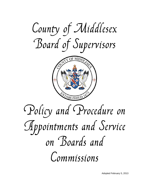